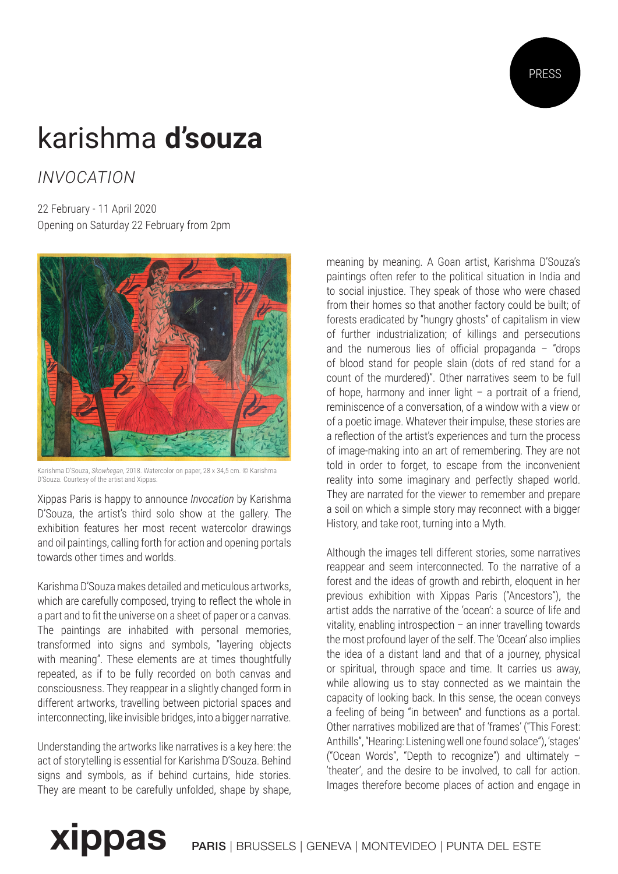

## karishma **d'souza**

*INVOCATION*

22 February - 11 April 2020 Opening on Saturday 22 February from 2pm



Karishma D'Souza, *Skowhegan*, 2018. Watercolor on paper, 28 x 34,5 cm. © Karishma D'Souza. Courtesy of the artist and Xippas.

Xippas Paris is happy to announce *Invocation* by Karishma D'Souza, the artist's third solo show at the gallery. The exhibition features her most recent watercolor drawings and oil paintings, calling forth for action and opening portals towards other times and worlds.

Karishma D'Souza makes detailed and meticulous artworks, which are carefully composed, trying to reflect the whole in a part and to fit the universe on a sheet of paper or a canvas. The paintings are inhabited with personal memories, transformed into signs and symbols, "layering objects with meaning". These elements are at times thoughtfully repeated, as if to be fully recorded on both canvas and consciousness. They reappear in a slightly changed form in different artworks, travelling between pictorial spaces and interconnecting, like invisible bridges, into a bigger narrative.

Understanding the artworks like narratives is a key here: the act of storytelling is essential for Karishma D'Souza. Behind signs and symbols, as if behind curtains, hide stories. They are meant to be carefully unfolded, shape by shape, meaning by meaning. A Goan artist, Karishma D'Souza's paintings often refer to the political situation in India and to social injustice. They speak of those who were chased from their homes so that another factory could be built; of forests eradicated by "hungry ghosts" of capitalism in view of further industrialization; of killings and persecutions and the numerous lies of official propaganda  $-$  "drops" of blood stand for people slain (dots of red stand for a count of the murdered)". Other narratives seem to be full of hope, harmony and inner light  $-$  a portrait of a friend. reminiscence of a conversation, of a window with a view or of a poetic image. Whatever their impulse, these stories are a reflection of the artist's experiences and turn the process of image-making into an art of remembering. They are not told in order to forget, to escape from the inconvenient reality into some imaginary and perfectly shaped world. They are narrated for the viewer to remember and prepare a soil on which a simple story may reconnect with a bigger History, and take root, turning into a Myth.

Although the images tell different stories, some narratives reappear and seem interconnected. To the narrative of a forest and the ideas of growth and rebirth, eloquent in her previous exhibition with Xippas Paris ("Ancestors"), the artist adds the narrative of the 'ocean': a source of life and vitality, enabling introspection – an inner travelling towards the most profound layer of the self. The 'Ocean' also implies the idea of a distant land and that of a journey, physical or spiritual, through space and time. It carries us away, while allowing us to stay connected as we maintain the capacity of looking back. In this sense, the ocean conveys a feeling of being "in between" and functions as a portal. Other narratives mobilized are that of 'frames' ("This Forest: Anthills", "Hearing: Listening well one found solace"), 'stages' ("Ocean Words", "Depth to recognize") and ultimately – 'theater', and the desire to be involved, to call for action. Images therefore become places of action and engage in